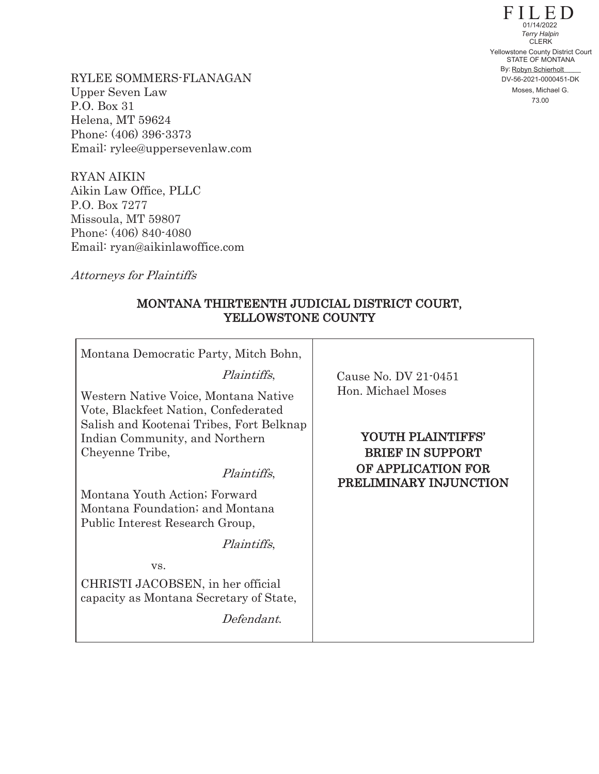FILED STATE OF MONTANA By: Robyn Schierholt **CLERK** 73.00 Yellowstone County District Court DV-56-2021-0000451-DK  $01/14/2022$ *Terry Halpin* Moses, Michael G.

RYLEE SOMMERS-FLANAGAN Upper Seven Law P.O. Box 31 Helena, MT 59624 Phone: (406) 396-3373 Email: rylee@uppersevenlaw.com

RYAN AIKIN Aikin Law Office, PLLC P.O. Box 7277 Missoula, MT 59807 Phone: (406) 840-4080 Email: ryan@aikinlawoffice.com

Attorneys for Plaintiffs

## MONTANA THIRTEENTH JUDICIAL DISTRICT COURT, YELLOWSTONE COUNTY

| Montana Democratic Party, Mitch Bohn,                                                                                                                                                                                                                                                                                                                                                                                           |                                                                                                                    |
|---------------------------------------------------------------------------------------------------------------------------------------------------------------------------------------------------------------------------------------------------------------------------------------------------------------------------------------------------------------------------------------------------------------------------------|--------------------------------------------------------------------------------------------------------------------|
| <i>Plaintiffs</i> ,                                                                                                                                                                                                                                                                                                                                                                                                             | Cause No. DV 21-0451                                                                                               |
| Western Native Voice, Montana Native<br>Vote, Blackfeet Nation, Confederated<br>Salish and Kootenai Tribes, Fort Belknap<br>Indian Community, and Northern<br>Cheyenne Tribe,<br>Plaintiffs,<br>Montana Youth Action; Forward<br>Montana Foundation; and Montana<br>Public Interest Research Group,<br><i>Plaintiffs</i> ,<br>VS.<br>CHRISTI JACOBSEN, in her official<br>capacity as Montana Secretary of State,<br>Defendant. | Hon. Michael Moses<br>YOUTH PLAINTIFFS'<br><b>BRIEF IN SUPPORT</b><br>OF APPLICATION FOR<br>PRELIMINARY INJUNCTION |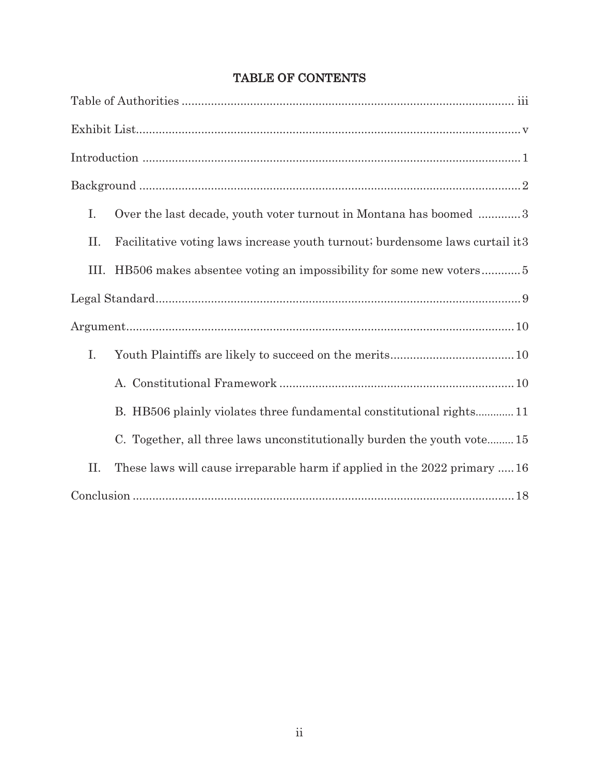| I.          | Over the last decade, youth voter turnout in Montana has boomed 3            |
|-------------|------------------------------------------------------------------------------|
| П.          | Facilitative voting laws increase youth turnout; burdensome laws curtail it3 |
|             | III. HB506 makes absentee voting an impossibility for some new voters5       |
|             |                                                                              |
|             |                                                                              |
| $I_{\cdot}$ |                                                                              |
|             |                                                                              |
|             | B. HB506 plainly violates three fundamental constitutional rights 11         |
|             | C. Together, all three laws unconstitutionally burden the youth vote 15      |
| II.         | These laws will cause irreparable harm if applied in the 2022 primary  16    |
|             |                                                                              |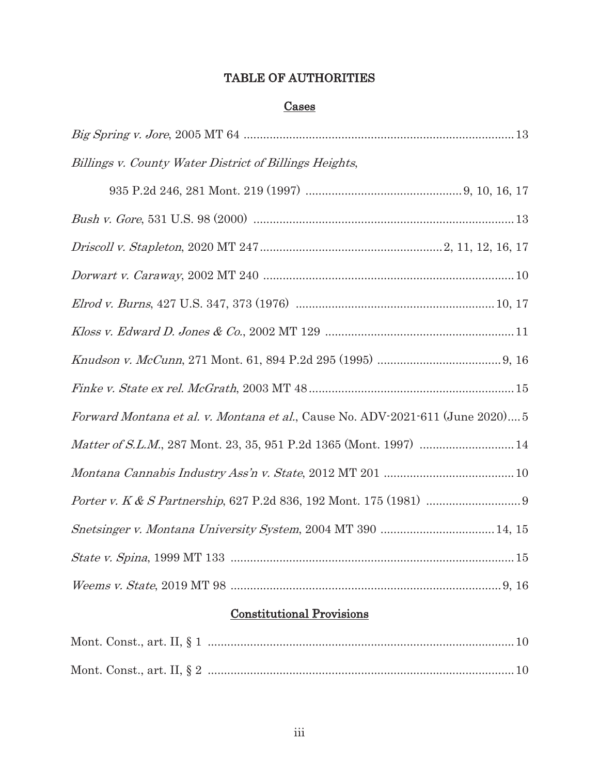# TABLE OF AUTHORITIES

## **Cases**

| Billings v. County Water District of Billings Heights,                         |
|--------------------------------------------------------------------------------|
|                                                                                |
|                                                                                |
|                                                                                |
|                                                                                |
|                                                                                |
|                                                                                |
|                                                                                |
|                                                                                |
| Forward Montana et al. v. Montana et al., Cause No. ADV-2021-611 (June 2020) 5 |
|                                                                                |
|                                                                                |
|                                                                                |
|                                                                                |
|                                                                                |
|                                                                                |

# Constitutional Provisions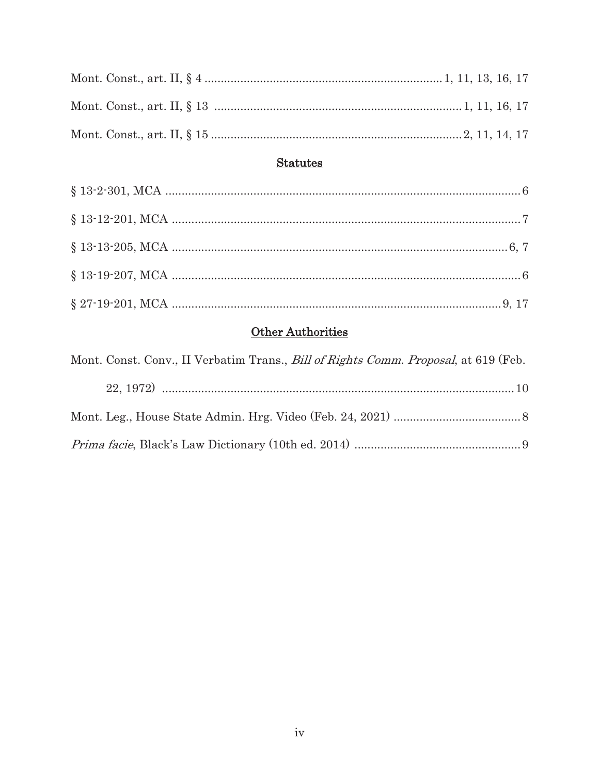# **Statutes**

# Other Authorities

| Mont. Const. Conv., II Verbatim Trans., <i>Bill of Rights Comm. Proposal</i> , at 619 (Feb. |  |
|---------------------------------------------------------------------------------------------|--|
|                                                                                             |  |
|                                                                                             |  |
|                                                                                             |  |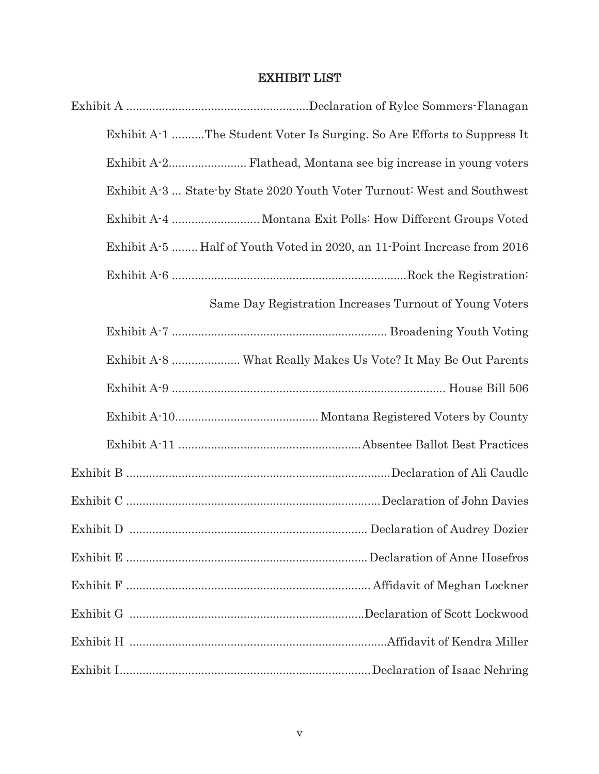## EXHIBIT LIST

| Exhibit A-1 The Student Voter Is Surging. So Are Efforts to Suppress It  |
|--------------------------------------------------------------------------|
|                                                                          |
| Exhibit A-3  State-by State 2020 Youth Voter Turnout: West and Southwest |
|                                                                          |
| Exhibit A-5  Half of Youth Voted in 2020, an 11-Point Increase from 2016 |
|                                                                          |
| Same Day Registration Increases Turnout of Young Voters                  |
|                                                                          |
|                                                                          |
|                                                                          |
|                                                                          |
|                                                                          |
|                                                                          |
|                                                                          |
|                                                                          |
|                                                                          |
|                                                                          |
|                                                                          |
|                                                                          |
|                                                                          |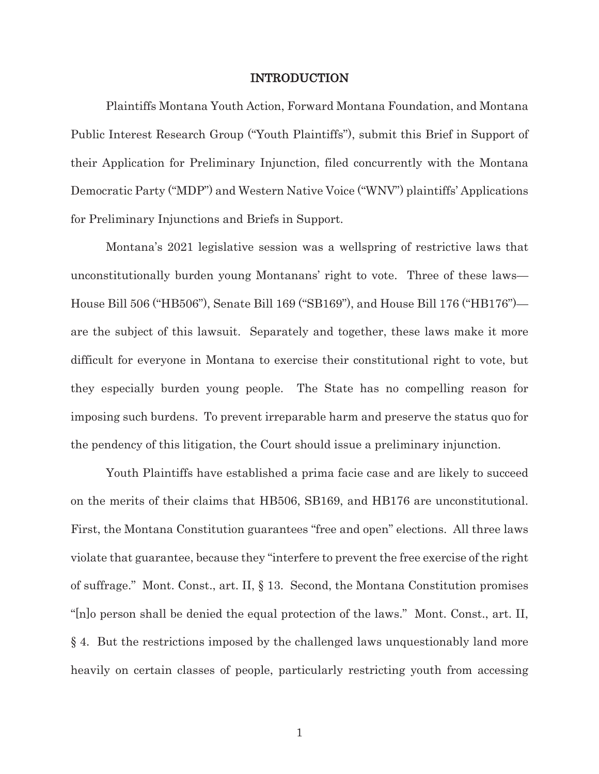#### INTRODUCTION

Plaintiffs Montana Youth Action, Forward Montana Foundation, and Montana Public Interest Research Group ("Youth Plaintiffs"), submit this Brief in Support of their Application for Preliminary Injunction, filed concurrently with the Montana Democratic Party ("MDP") and Western Native Voice ("WNV") plaintiffs' Applications for Preliminary Injunctions and Briefs in Support.

Montana's 2021 legislative session was a wellspring of restrictive laws that unconstitutionally burden young Montanans' right to vote. Three of these laws— House Bill 506 ("HB506"), Senate Bill 169 ("SB169"), and House Bill 176 ("HB176") are the subject of this lawsuit. Separately and together, these laws make it more difficult for everyone in Montana to exercise their constitutional right to vote, but they especially burden young people. The State has no compelling reason for imposing such burdens. To prevent irreparable harm and preserve the status quo for the pendency of this litigation, the Court should issue a preliminary injunction.

Youth Plaintiffs have established a prima facie case and are likely to succeed on the merits of their claims that HB506, SB169, and HB176 are unconstitutional. First, the Montana Constitution guarantees "free and open" elections. All three laws violate that guarantee, because they "interfere to prevent the free exercise of the right of suffrage." Mont. Const., art. II, § 13. Second, the Montana Constitution promises "[n]o person shall be denied the equal protection of the laws." Mont. Const., art. II, § 4. But the restrictions imposed by the challenged laws unquestionably land more heavily on certain classes of people, particularly restricting youth from accessing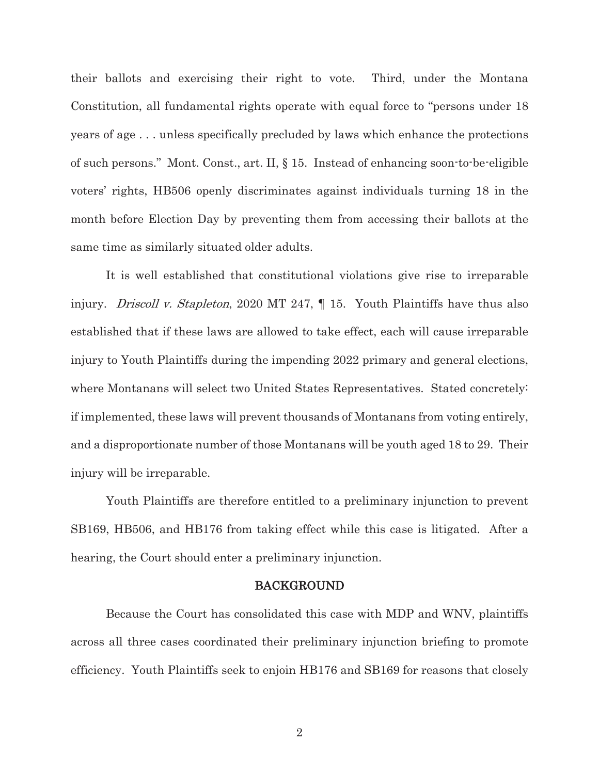their ballots and exercising their right to vote. Third, under the Montana Constitution, all fundamental rights operate with equal force to "persons under 18 years of age . . . unless specifically precluded by laws which enhance the protections of such persons." Mont. Const., art. II, § 15. Instead of enhancing soon-to-be-eligible voters' rights, HB506 openly discriminates against individuals turning 18 in the month before Election Day by preventing them from accessing their ballots at the same time as similarly situated older adults.

It is well established that constitutional violations give rise to irreparable injury. *Driscoll v. Stapleton*, 2020 MT 247,  $\parallel$  15. Youth Plaintiffs have thus also established that if these laws are allowed to take effect, each will cause irreparable injury to Youth Plaintiffs during the impending 2022 primary and general elections, where Montanans will select two United States Representatives. Stated concretely: if implemented, these laws will prevent thousands of Montanans from voting entirely, and a disproportionate number of those Montanans will be youth aged 18 to 29. Their injury will be irreparable.

Youth Plaintiffs are therefore entitled to a preliminary injunction to prevent SB169, HB506, and HB176 from taking effect while this case is litigated. After a hearing, the Court should enter a preliminary injunction.

#### BACKGROUND

Because the Court has consolidated this case with MDP and WNV, plaintiffs across all three cases coordinated their preliminary injunction briefing to promote efficiency. Youth Plaintiffs seek to enjoin HB176 and SB169 for reasons that closely

2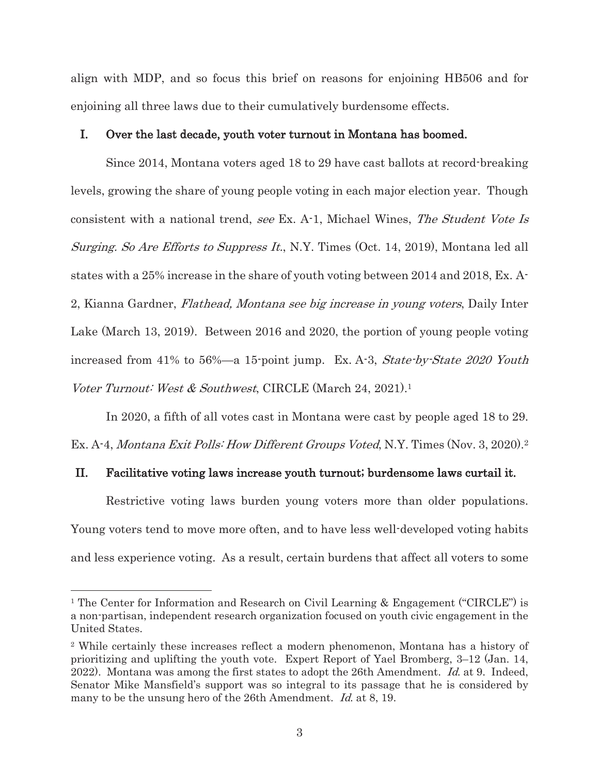align with MDP, and so focus this brief on reasons for enjoining HB506 and for enjoining all three laws due to their cumulatively burdensome effects.

#### I. Over the last decade, youth voter turnout in Montana has boomed.

Since 2014, Montana voters aged 18 to 29 have cast ballots at record-breaking levels, growing the share of young people voting in each major election year. Though consistent with a national trend, see Ex. A-1, Michael Wines, The Student Vote Is Surging. So Are Efforts to Suppress It., N.Y. Times (Oct. 14, 2019), Montana led all states with a 25% increase in the share of youth voting between 2014 and 2018, Ex. A-2, Kianna Gardner, Flathead, Montana see big increase in young voters, Daily Inter Lake (March 13, 2019). Between 2016 and 2020, the portion of young people voting increased from 41% to 56%—a 15-point jump. Ex. A-3, State-by-State 2020 Youth Voter Turnout: West & Southwest, CIRCLE (March 24, 2021).<sup>1</sup>

In 2020, a fifth of all votes cast in Montana were cast by people aged 18 to 29. Ex. A-4, Montana Exit Polls: How Different Groups Voted, N.Y. Times (Nov. 3, 2020).<sup>2</sup>

### II. Facilitative voting laws increase youth turnout; burdensome laws curtail it.

Restrictive voting laws burden young voters more than older populations. Young voters tend to move more often, and to have less well-developed voting habits and less experience voting. As a result, certain burdens that affect all voters to some

<sup>&</sup>lt;sup>1</sup> The Center for Information and Research on Civil Learning & Engagement ("CIRCLE") is a non-partisan, independent research organization focused on youth civic engagement in the United States.

<sup>2</sup> While certainly these increases reflect a modern phenomenon, Montana has a history of prioritizing and uplifting the youth vote. Expert Report of Yael Bromberg, 3–12 (Jan. 14, 2022). Montana was among the first states to adopt the 26th Amendment. Id. at 9. Indeed, Senator Mike Mansfield's support was so integral to its passage that he is considered by many to be the unsung hero of the 26th Amendment. Id. at 8, 19.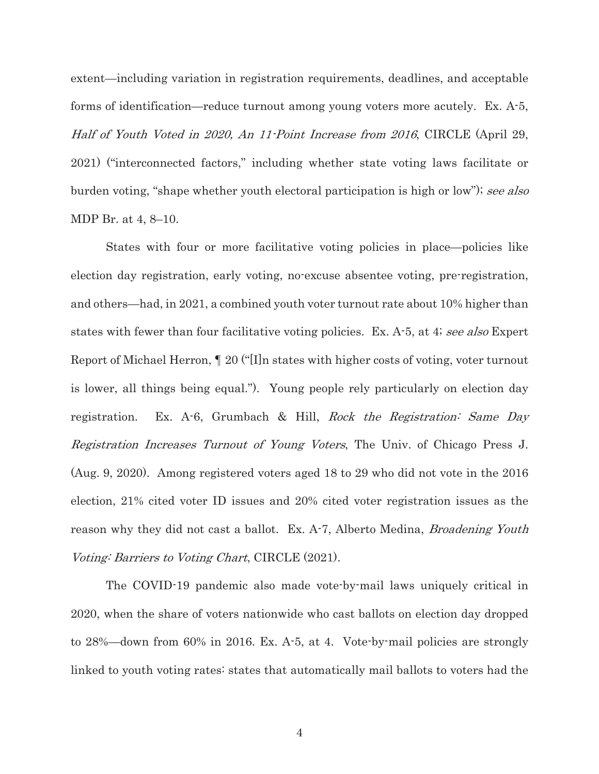extent—including variation in registration requirements, deadlines, and acceptable forms of identification—reduce turnout among young voters more acutely. Ex. A-5, Half of Youth Voted in 2020, An 11-Point Increase from 2016, CIRCLE (April 29, 2021) ("interconnected factors," including whether state voting laws facilitate or burden voting, "shape whether youth electoral participation is high or low"); see also MDP Br. at 4, 8–10.

States with four or more facilitative voting policies in place—policies like election day registration, early voting, no-excuse absentee voting, pre-registration, and others—had, in 2021, a combined youth voter turnout rate about 10% higher than states with fewer than four facilitative voting policies. Ex. A-5, at 4; see also Expert Report of Michael Herron, ¶ 20 ("[I]n states with higher costs of voting, voter turnout is lower, all things being equal."). Young people rely particularly on election day registration. Ex. A-6, Grumbach & Hill, Rock the Registration: Same Day Registration Increases Turnout of Young Voters, The Univ. of Chicago Press J. (Aug. 9, 2020). Among registered voters aged 18 to 29 who did not vote in the 2016 election, 21% cited voter ID issues and 20% cited voter registration issues as the reason why they did not cast a ballot. Ex. A-7, Alberto Medina, *Broadening Youth* Voting: Barriers to Voting Chart, CIRCLE (2021).

The COVID-19 pandemic also made vote-by-mail laws uniquely critical in 2020, when the share of voters nationwide who cast ballots on election day dropped to 28%—down from 60% in 2016. Ex. A-5, at 4. Vote-by-mail policies are strongly linked to youth voting rates: states that automatically mail ballots to voters had the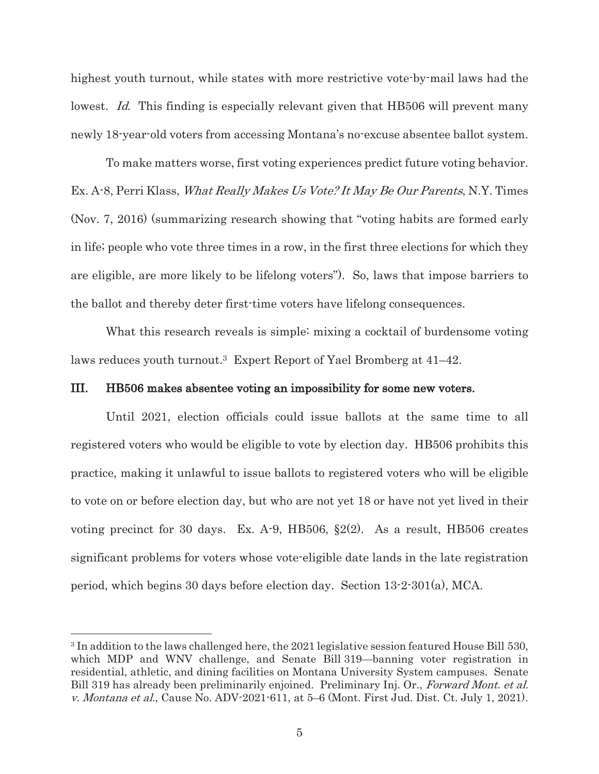highest youth turnout, while states with more restrictive vote-by-mail laws had the lowest. Id. This finding is especially relevant given that HB506 will prevent many newly 18-year-old voters from accessing Montana's no-excuse absentee ballot system.

To make matters worse, first voting experiences predict future voting behavior. Ex. A-8, Perri Klass, What Really Makes Us Vote? It May Be Our Parents, N.Y. Times (Nov. 7, 2016) (summarizing research showing that "voting habits are formed early in life; people who vote three times in a row, in the first three elections for which they are eligible, are more likely to be lifelong voters"). So, laws that impose barriers to the ballot and thereby deter first-time voters have lifelong consequences.

What this research reveals is simple: mixing a cocktail of burdensome voting laws reduces youth turnout.3 Expert Report of Yael Bromberg at 41–42.

#### III. HB506 makes absentee voting an impossibility for some new voters.

Until 2021, election officials could issue ballots at the same time to all registered voters who would be eligible to vote by election day. HB506 prohibits this practice, making it unlawful to issue ballots to registered voters who will be eligible to vote on or before election day, but who are not yet 18 or have not yet lived in their voting precinct for 30 days. Ex. A-9, HB506, §2(2). As a result, HB506 creates significant problems for voters whose vote-eligible date lands in the late registration period, which begins 30 days before election day. Section 13-2-301(a), MCA.

<sup>3</sup> In addition to the laws challenged here, the 2021 legislative session featured House Bill 530, which MDP and WNV challenge, and Senate Bill 319—banning voter registration in residential, athletic, and dining facilities on Montana University System campuses. Senate Bill 319 has already been preliminarily enjoined. Preliminary Inj. Or., Forward Mont. et al. v. Montana et al., Cause No. ADV-2021-611, at 5–6 (Mont. First Jud. Dist. Ct. July 1, 2021).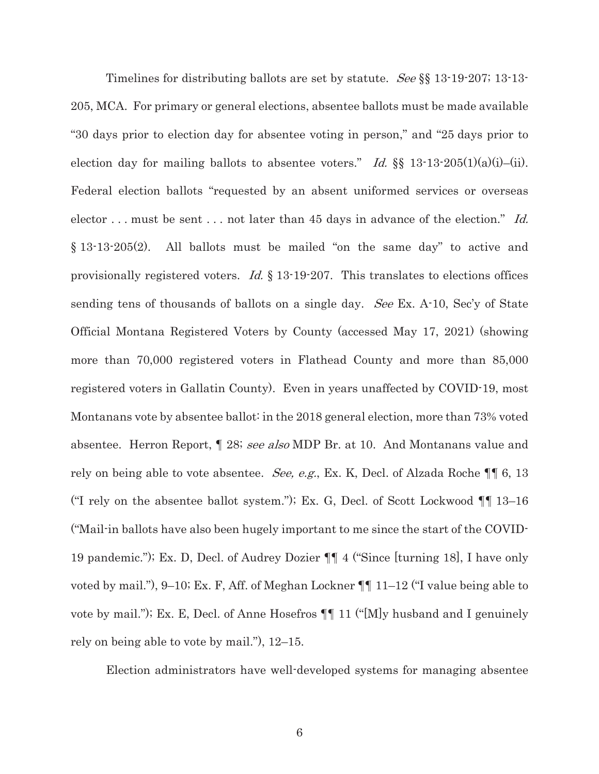Timelines for distributing ballots are set by statute. See §§ 13-19-207; 13-13- 205, MCA. For primary or general elections, absentee ballots must be made available "30 days prior to election day for absentee voting in person," and "25 days prior to election day for mailing ballots to absentee voters." Id.  $\S$  13-13-205(1)(a)(i)–(ii). Federal election ballots "requested by an absent uniformed services or overseas elector ... must be sent ... not later than 45 days in advance of the election." Id. § 13-13-205(2). All ballots must be mailed "on the same day" to active and provisionally registered voters. Id.  $\S$  13-19-207. This translates to elections offices sending tens of thousands of ballots on a single day. See Ex. A-10, Sec'y of State Official Montana Registered Voters by County (accessed May 17, 2021) (showing more than 70,000 registered voters in Flathead County and more than 85,000 registered voters in Gallatin County). Even in years unaffected by COVID-19, most Montanans vote by absentee ballot: in the 2018 general election, more than 73% voted absentee. Herron Report, ¶ 28; see also MDP Br. at 10. And Montanans value and rely on being able to vote absentee. *See, e.g.*, Ex. K, Decl. of Alzada Roche ¶ 6, 13 ("I rely on the absentee ballot system."); Ex. G, Decl. of Scott Lockwood ¶¶ 13–16 ("Mail-in ballots have also been hugely important to me since the start of the COVID-19 pandemic."); Ex. D, Decl. of Audrey Dozier ¶¶ 4 ("Since [turning 18], I have only voted by mail."), 9–10; Ex. F, Aff. of Meghan Lockner ¶¶ 11–12 ("I value being able to vote by mail."); Ex. E, Decl. of Anne Hosefros ¶¶ 11 ("[M]y husband and I genuinely rely on being able to vote by mail."), 12–15.

Election administrators have well-developed systems for managing absentee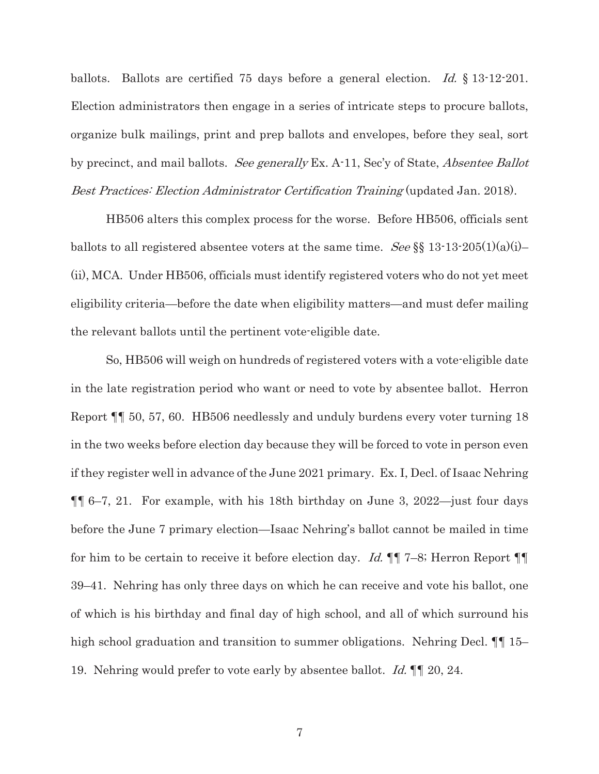ballots. Ballots are certified 75 days before a general election. Id.  $\S$  13-12-201. Election administrators then engage in a series of intricate steps to procure ballots, organize bulk mailings, print and prep ballots and envelopes, before they seal, sort by precinct, and mail ballots. See generally Ex. A-11, Sec'y of State, *Absentee Ballot* Best Practices: Election Administrator Certification Training (updated Jan. 2018).

HB506 alters this complex process for the worse. Before HB506, officials sent ballots to all registered absentee voters at the same time. See §§ 13-13-205(1)(a)(i)-(ii), MCA. Under HB506, officials must identify registered voters who do not yet meet eligibility criteria—before the date when eligibility matters—and must defer mailing the relevant ballots until the pertinent vote-eligible date.

So, HB506 will weigh on hundreds of registered voters with a vote-eligible date in the late registration period who want or need to vote by absentee ballot. Herron Report ¶¶ 50, 57, 60. HB506 needlessly and unduly burdens every voter turning 18 in the two weeks before election day because they will be forced to vote in person even if they register well in advance of the June 2021 primary. Ex. I, Decl. of Isaac Nehring ¶¶ 6–7, 21. For example, with his 18th birthday on June 3, 2022—just four days before the June 7 primary election—Isaac Nehring's ballot cannot be mailed in time for him to be certain to receive it before election day. Id. ¶¶ 7–8; Herron Report ¶¶ 39–41. Nehring has only three days on which he can receive and vote his ballot, one of which is his birthday and final day of high school, and all of which surround his high school graduation and transition to summer obligations. Nehring Decl.  $\P$  15– 19. Nehring would prefer to vote early by absentee ballot. Id.  $\llbracket \cdot \rrbracket$  20, 24.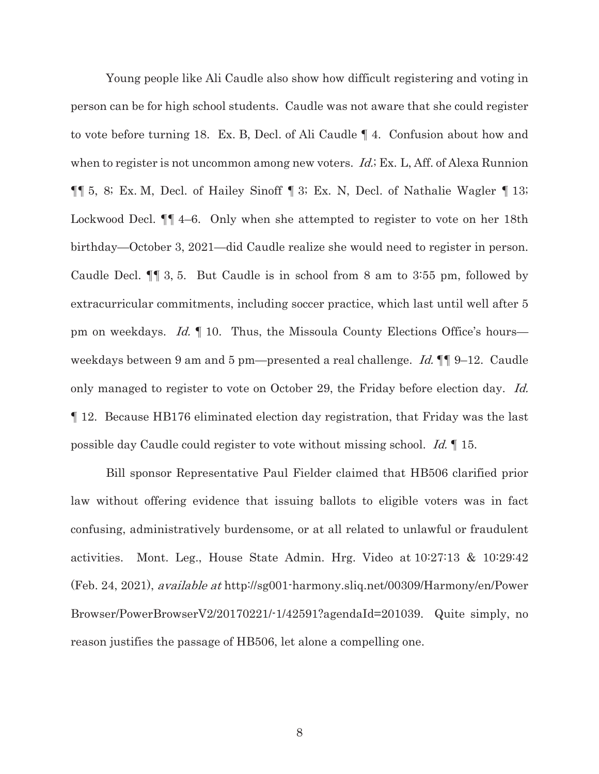Young people like Ali Caudle also show how difficult registering and voting in person can be for high school students. Caudle was not aware that she could register to vote before turning 18. Ex. B, Decl. of Ali Caudle ¶ 4. Confusion about how and when to register is not uncommon among new voters. *Id.*; Ex. L, Aff. of Alexa Runnion ¶¶ 5, 8; Ex. M, Decl. of Hailey Sinoff ¶ 3; Ex. N, Decl. of Nathalie Wagler ¶ 13; Lockwood Decl. ¶¶ 4–6. Only when she attempted to register to vote on her 18th birthday—October 3, 2021—did Caudle realize she would need to register in person. Caudle Decl. ¶¶ 3, 5. But Caudle is in school from 8 am to 3:55 pm, followed by extracurricular commitments, including soccer practice, which last until well after 5 pm on weekdays. Id. ¶ 10. Thus, the Missoula County Elections Office's hours weekdays between 9 am and 5 pm—presented a real challenge. Id.  $\P\P$  9–12. Caudle only managed to register to vote on October 29, the Friday before election day. Id. ¶ 12. Because HB176 eliminated election day registration, that Friday was the last possible day Caudle could register to vote without missing school. Id. ¶ 15.

Bill sponsor Representative Paul Fielder claimed that HB506 clarified prior law without offering evidence that issuing ballots to eligible voters was in fact confusing, administratively burdensome, or at all related to unlawful or fraudulent activities. Mont. Leg., House State Admin. Hrg. Video at 10:27:13 & 10:29:42 (Feb. 24, 2021), available at http://sg001-harmony.sliq.net/00309/Harmony/en/Power Browser/PowerBrowserV2/20170221/-1/42591?agendaId=201039. Quite simply, no reason justifies the passage of HB506, let alone a compelling one.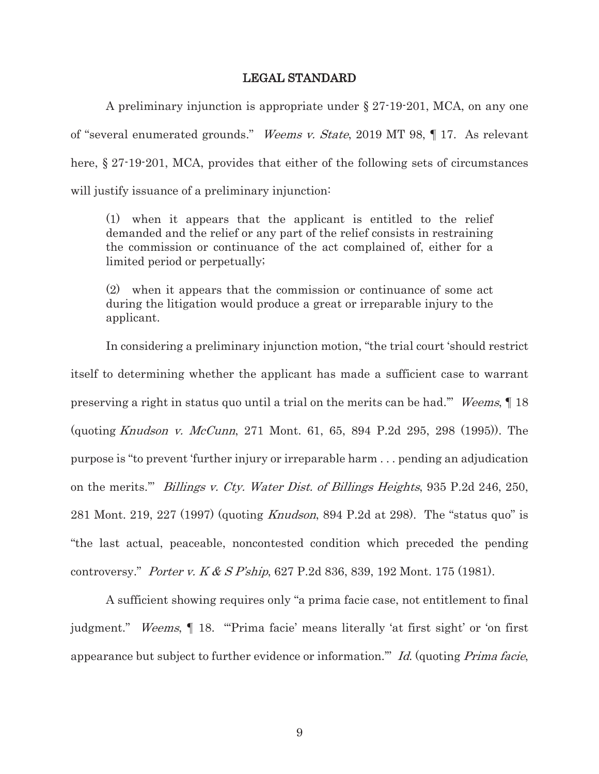#### LEGAL STANDARD

A preliminary injunction is appropriate under § 27-19-201, MCA, on any one of "several enumerated grounds." Weems v. State, 2019 MT 98, ¶ 17. As relevant here, § 27-19-201, MCA, provides that either of the following sets of circumstances will justify issuance of a preliminary injunction:

(1) when it appears that the applicant is entitled to the relief demanded and the relief or any part of the relief consists in restraining the commission or continuance of the act complained of, either for a limited period or perpetually;

(2) when it appears that the commission or continuance of some act during the litigation would produce a great or irreparable injury to the applicant.

 In considering a preliminary injunction motion, "the trial court 'should restrict itself to determining whether the applicant has made a sufficient case to warrant preserving a right in status quo until a trial on the merits can be had.'" Weems, ¶ 18 (quoting Knudson v. McCunn, 271 Mont. 61, 65, 894 P.2d 295, 298 (1995)). The purpose is "to prevent 'further injury or irreparable harm . . . pending an adjudication on the merits.'" Billings v. Cty. Water Dist. of Billings Heights, 935 P.2d 246, 250, 281 Mont. 219, 227 (1997) (quoting Knudson, 894 P.2d at 298). The "status quo" is "the last actual, peaceable, noncontested condition which preceded the pending controversy." Porter v. K & S P'ship, 627 P.2d 836, 839, 192 Mont. 175 (1981).

A sufficient showing requires only "a prima facie case, not entitlement to final judgment." Weems, ¶ 18. "'Prima facie' means literally 'at first sight' or 'on first appearance but subject to further evidence or information.'" Id. (quoting Prima facie,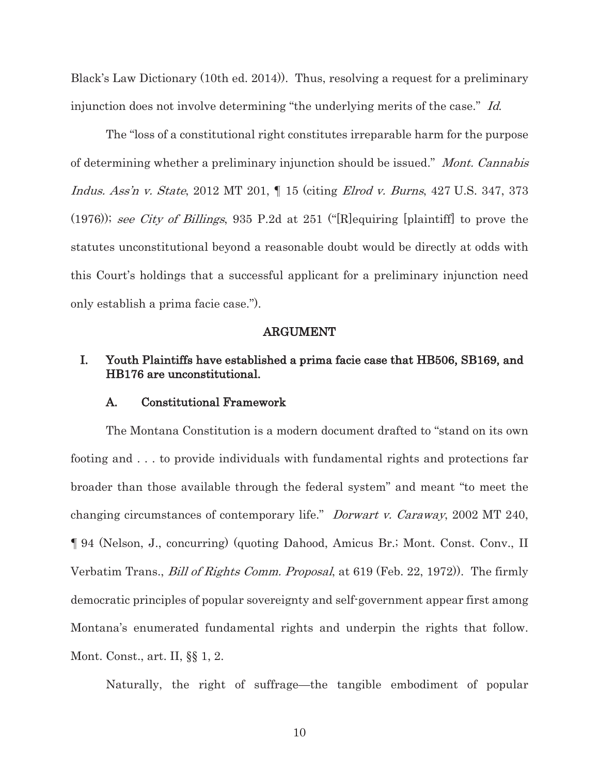Black's Law Dictionary (10th ed. 2014)). Thus, resolving a request for a preliminary injunction does not involve determining "the underlying merits of the case." Id.

The "loss of a constitutional right constitutes irreparable harm for the purpose of determining whether a preliminary injunction should be issued." Mont. Cannabis Indus. Ass'n v. State, 2012 MT 201, ¶ 15 (citing Elrod v. Burns, 427 U.S. 347, 373 (1976)); see City of Billings, 935 P.2d at 251 ("[R]equiring [plaintiff] to prove the statutes unconstitutional beyond a reasonable doubt would be directly at odds with this Court's holdings that a successful applicant for a preliminary injunction need only establish a prima facie case.").

#### ARGUMENT

## I. Youth Plaintiffs have established a prima facie case that HB506, SB169, and HB176 are unconstitutional.

#### A. Constitutional Framework

The Montana Constitution is a modern document drafted to "stand on its own footing and . . . to provide individuals with fundamental rights and protections far broader than those available through the federal system" and meant "to meet the changing circumstances of contemporary life." Dorwart v. Caraway, 2002 MT 240, ¶ 94 (Nelson, J., concurring) (quoting Dahood, Amicus Br.; Mont. Const. Conv., II Verbatim Trans., Bill of Rights Comm. Proposal, at 619 (Feb. 22, 1972)). The firmly democratic principles of popular sovereignty and self-government appear first among Montana's enumerated fundamental rights and underpin the rights that follow. Mont. Const., art. II, §§ 1, 2.

Naturally, the right of suffrage—the tangible embodiment of popular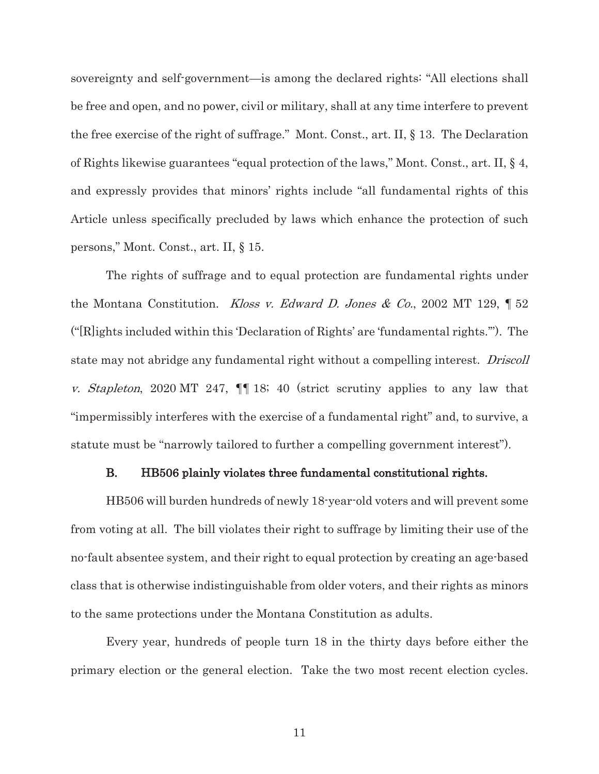sovereignty and self-government—is among the declared rights: "All elections shall be free and open, and no power, civil or military, shall at any time interfere to prevent the free exercise of the right of suffrage." Mont. Const., art. II, § 13. The Declaration of Rights likewise guarantees "equal protection of the laws," Mont. Const., art. II, § 4, and expressly provides that minors' rights include "all fundamental rights of this Article unless specifically precluded by laws which enhance the protection of such persons," Mont. Const., art. II, § 15.

The rights of suffrage and to equal protection are fundamental rights under the Montana Constitution. Kloss v. Edward D. Jones & Co., 2002 MT 129,  $\parallel$  52 ("[R]ights included within this 'Declaration of Rights' are 'fundamental rights.'"). The state may not abridge any fundamental right without a compelling interest. Driscoll v. Stapleton, 2020 MT 247, ¶¶ 18; 40 (strict scrutiny applies to any law that "impermissibly interferes with the exercise of a fundamental right" and, to survive, a statute must be "narrowly tailored to further a compelling government interest").

#### B. HB506 plainly violates three fundamental constitutional rights.

HB506 will burden hundreds of newly 18-year-old voters and will prevent some from voting at all. The bill violates their right to suffrage by limiting their use of the no-fault absentee system, and their right to equal protection by creating an age-based class that is otherwise indistinguishable from older voters, and their rights as minors to the same protections under the Montana Constitution as adults.

Every year, hundreds of people turn 18 in the thirty days before either the primary election or the general election. Take the two most recent election cycles.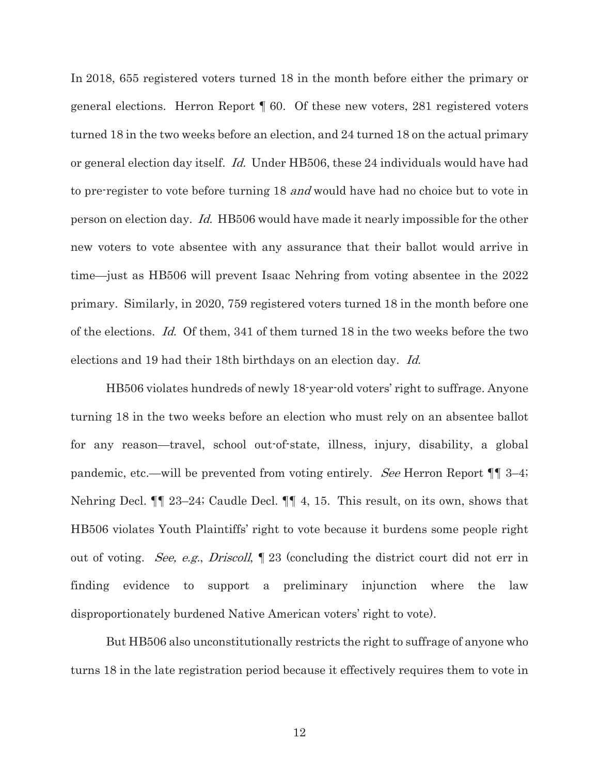In 2018, 655 registered voters turned 18 in the month before either the primary or general elections. Herron Report ¶ 60. Of these new voters, 281 registered voters turned 18 in the two weeks before an election, and 24 turned 18 on the actual primary or general election day itself. Id. Under HB506, these 24 individuals would have had to pre-register to vote before turning 18 and would have had no choice but to vote in person on election day. Id. HB506 would have made it nearly impossible for the other new voters to vote absentee with any assurance that their ballot would arrive in time—just as HB506 will prevent Isaac Nehring from voting absentee in the 2022 primary. Similarly, in 2020, 759 registered voters turned 18 in the month before one of the elections. Id. Of them, 341 of them turned 18 in the two weeks before the two elections and 19 had their 18th birthdays on an election day. Id.

HB506 violates hundreds of newly 18-year-old voters' right to suffrage. Anyone turning 18 in the two weeks before an election who must rely on an absentee ballot for any reason—travel, school out-of-state, illness, injury, disability, a global pandemic, etc.—will be prevented from voting entirely. See Herron Report ¶¶ 3–4; Nehring Decl. ¶¶ 23–24; Caudle Decl. ¶¶ 4, 15. This result, on its own, shows that HB506 violates Youth Plaintiffs' right to vote because it burdens some people right out of voting. See, e.g., Driscoll, ¶ 23 (concluding the district court did not err in finding evidence to support a preliminary injunction where the law disproportionately burdened Native American voters' right to vote).

But HB506 also unconstitutionally restricts the right to suffrage of anyone who turns 18 in the late registration period because it effectively requires them to vote in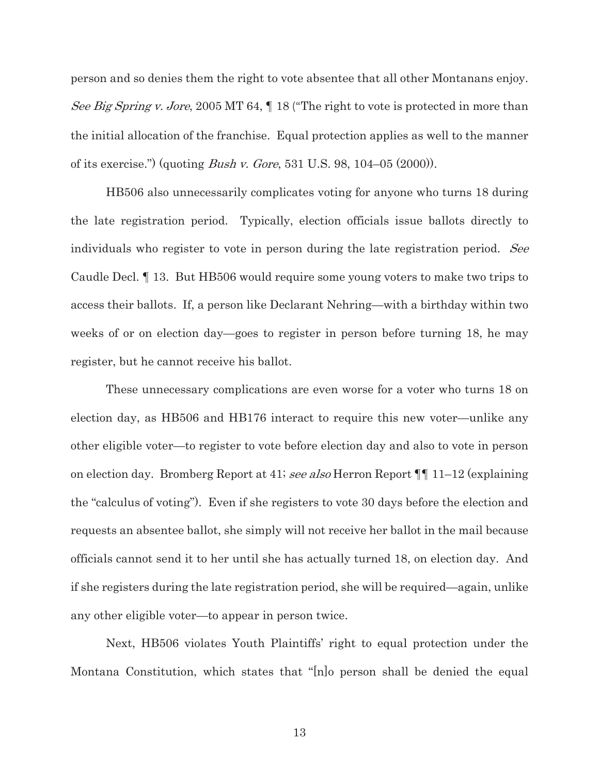person and so denies them the right to vote absentee that all other Montanans enjoy. See Big Spring v. Jore, 2005 MT 64,  $\parallel$  18 ("The right to vote is protected in more than the initial allocation of the franchise. Equal protection applies as well to the manner of its exercise.") (quoting *Bush v. Gore*, 531 U.S. 98, 104–05 (2000)).

HB506 also unnecessarily complicates voting for anyone who turns 18 during the late registration period. Typically, election officials issue ballots directly to individuals who register to vote in person during the late registration period. See Caudle Decl. ¶ 13. But HB506 would require some young voters to make two trips to access their ballots. If, a person like Declarant Nehring—with a birthday within two weeks of or on election day—goes to register in person before turning 18, he may register, but he cannot receive his ballot.

These unnecessary complications are even worse for a voter who turns 18 on election day, as HB506 and HB176 interact to require this new voter—unlike any other eligible voter—to register to vote before election day and also to vote in person on election day. Bromberg Report at 41; see also Herron Report ¶¶ 11–12 (explaining the "calculus of voting"). Even if she registers to vote 30 days before the election and requests an absentee ballot, she simply will not receive her ballot in the mail because officials cannot send it to her until she has actually turned 18, on election day. And if she registers during the late registration period, she will be required—again, unlike any other eligible voter—to appear in person twice.

Next, HB506 violates Youth Plaintiffs' right to equal protection under the Montana Constitution, which states that "[n]o person shall be denied the equal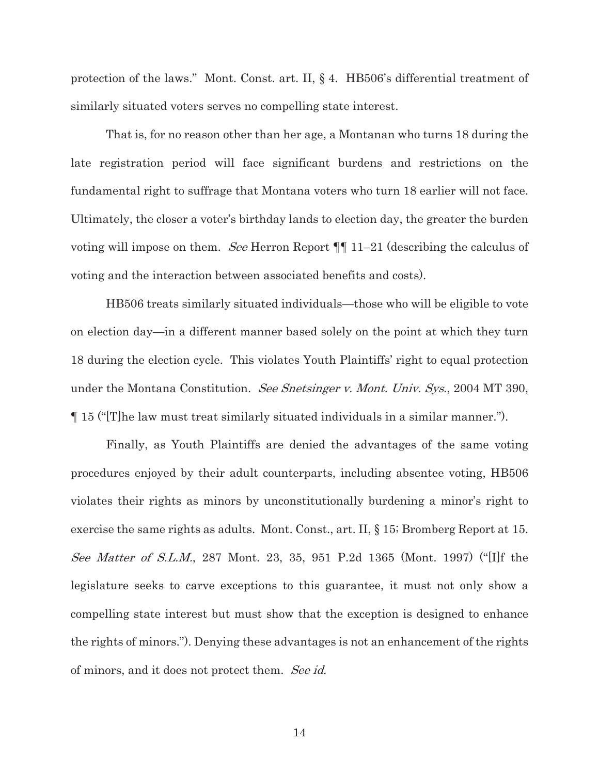protection of the laws." Mont. Const. art. II, § 4. HB506's differential treatment of similarly situated voters serves no compelling state interest.

That is, for no reason other than her age, a Montanan who turns 18 during the late registration period will face significant burdens and restrictions on the fundamental right to suffrage that Montana voters who turn 18 earlier will not face. Ultimately, the closer a voter's birthday lands to election day, the greater the burden voting will impose on them. See Herron Report ¶¶ 11–21 (describing the calculus of voting and the interaction between associated benefits and costs).

HB506 treats similarly situated individuals—those who will be eligible to vote on election day—in a different manner based solely on the point at which they turn 18 during the election cycle. This violates Youth Plaintiffs' right to equal protection under the Montana Constitution. See Snetsinger v. Mont. Univ. Sys., 2004 MT 390, ¶ 15 ("[T]he law must treat similarly situated individuals in a similar manner.").

Finally, as Youth Plaintiffs are denied the advantages of the same voting procedures enjoyed by their adult counterparts, including absentee voting, HB506 violates their rights as minors by unconstitutionally burdening a minor's right to exercise the same rights as adults. Mont. Const., art. II, § 15; Bromberg Report at 15. See Matter of S.L.M., 287 Mont. 23, 35, 951 P.2d 1365 (Mont. 1997) ("[I]f the legislature seeks to carve exceptions to this guarantee, it must not only show a compelling state interest but must show that the exception is designed to enhance the rights of minors."). Denying these advantages is not an enhancement of the rights of minors, and it does not protect them. See id.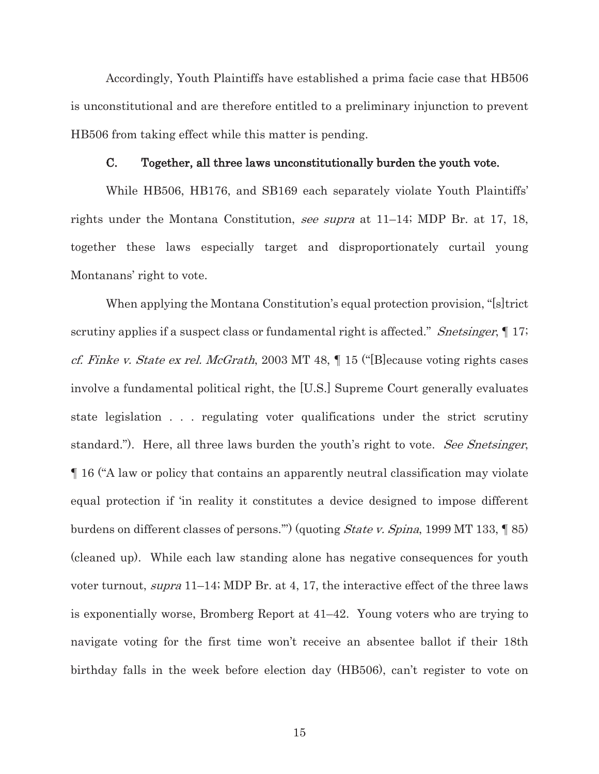Accordingly, Youth Plaintiffs have established a prima facie case that HB506 is unconstitutional and are therefore entitled to a preliminary injunction to prevent HB506 from taking effect while this matter is pending.

#### C. Together, all three laws unconstitutionally burden the youth vote.

While HB506, HB176, and SB169 each separately violate Youth Plaintiffs' rights under the Montana Constitution, see supra at 11–14; MDP Br. at 17, 18, together these laws especially target and disproportionately curtail young Montanans' right to vote.

When applying the Montana Constitution's equal protection provision, "[s]trict scrutiny applies if a suspect class or fundamental right is affected." Snetsinger,  $\llbracket 17;$ cf. Finke v. State ex rel. McGrath, 2003 MT 48, ¶ 15 ("[B]ecause voting rights cases involve a fundamental political right, the [U.S.] Supreme Court generally evaluates state legislation . . . regulating voter qualifications under the strict scrutiny standard."). Here, all three laws burden the youth's right to vote. See Snetsinger, ¶ 16 ("A law or policy that contains an apparently neutral classification may violate equal protection if 'in reality it constitutes a device designed to impose different burdens on different classes of persons.'") (quoting State v. Spina, 1999 MT 133, ¶ 85) (cleaned up). While each law standing alone has negative consequences for youth voter turnout, supra 11–14; MDP Br. at 4, 17, the interactive effect of the three laws is exponentially worse, Bromberg Report at 41–42. Young voters who are trying to navigate voting for the first time won't receive an absentee ballot if their 18th birthday falls in the week before election day (HB506), can't register to vote on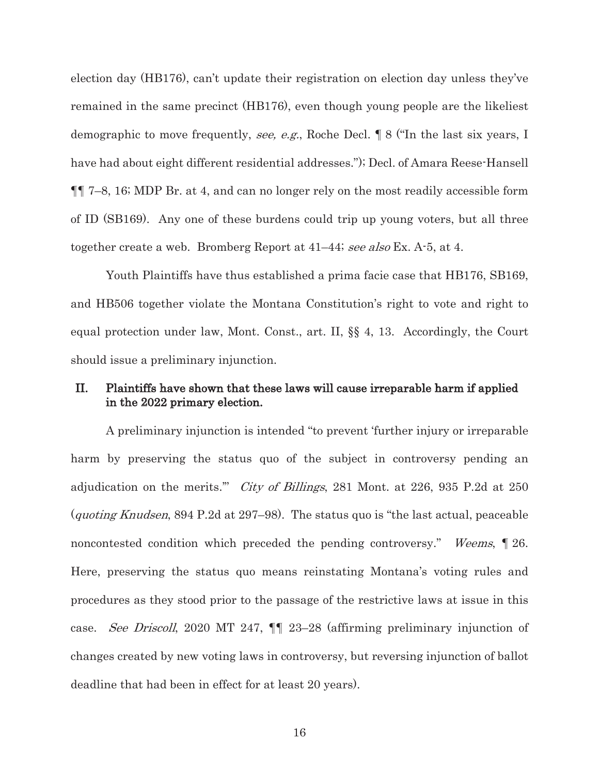election day (HB176), can't update their registration on election day unless they've remained in the same precinct (HB176), even though young people are the likeliest demographic to move frequently, see, e.g., Roche Decl. ¶ 8 ("In the last six years, I have had about eight different residential addresses."); Decl. of Amara Reese-Hansell ¶¶ 7–8, 16; MDP Br. at 4, and can no longer rely on the most readily accessible form of ID (SB169). Any one of these burdens could trip up young voters, but all three together create a web. Bromberg Report at 41–44; see also Ex. A-5, at 4.

Youth Plaintiffs have thus established a prima facie case that HB176, SB169, and HB506 together violate the Montana Constitution's right to vote and right to equal protection under law, Mont. Const., art. II, §§ 4, 13. Accordingly, the Court should issue a preliminary injunction.

### II. Plaintiffs have shown that these laws will cause irreparable harm if applied in the 2022 primary election.

A preliminary injunction is intended "to prevent 'further injury or irreparable harm by preserving the status quo of the subject in controversy pending an adjudication on the merits." *City of Billings*, 281 Mont. at 226, 935 P.2d at 250 (quoting Knudsen, 894 P.2d at 297–98). The status quo is "the last actual, peaceable noncontested condition which preceded the pending controversy." Weems, ¶ 26. Here, preserving the status quo means reinstating Montana's voting rules and procedures as they stood prior to the passage of the restrictive laws at issue in this case. See Driscoll, 2020 MT 247, ¶¶ 23–28 (affirming preliminary injunction of changes created by new voting laws in controversy, but reversing injunction of ballot deadline that had been in effect for at least 20 years).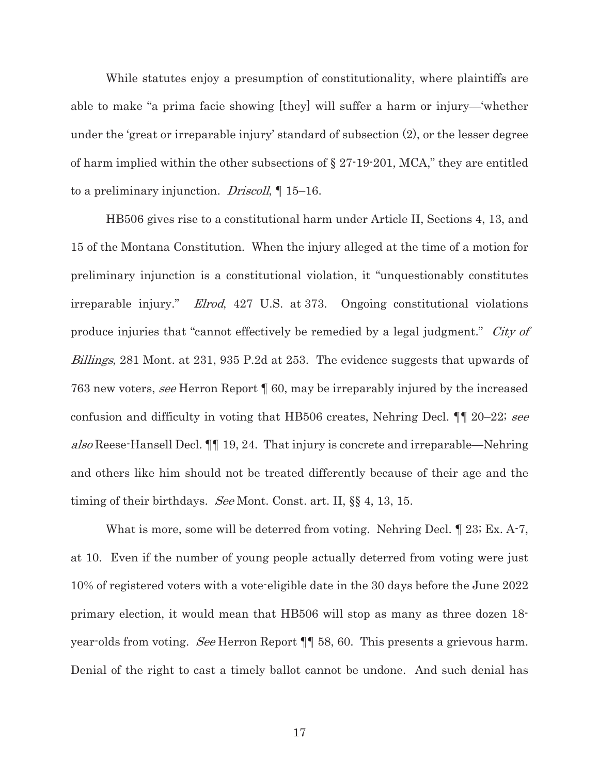While statutes enjoy a presumption of constitutionality, where plaintiffs are able to make "a prima facie showing [they] will suffer a harm or injury—'whether under the 'great or irreparable injury' standard of subsection (2), or the lesser degree of harm implied within the other subsections of § 27-19-201, MCA," they are entitled to a preliminary injunction. *Driscoll*,  $\parallel$  15–16.

HB506 gives rise to a constitutional harm under Article II, Sections 4, 13, and 15 of the Montana Constitution. When the injury alleged at the time of a motion for preliminary injunction is a constitutional violation, it "unquestionably constitutes irreparable injury." Elrod, 427 U.S. at 373. Ongoing constitutional violations produce injuries that "cannot effectively be remedied by a legal judgment." City of Billings, 281 Mont. at 231, 935 P.2d at 253. The evidence suggests that upwards of 763 new voters, see Herron Report ¶ 60, may be irreparably injured by the increased confusion and difficulty in voting that HB506 creates, Nehring Decl. ¶¶ 20–22; see also Reese-Hansell Decl. ¶¶ 19, 24. That injury is concrete and irreparable—Nehring and others like him should not be treated differently because of their age and the timing of their birthdays. See Mont. Const. art. II, §§ 4, 13, 15.

What is more, some will be deterred from voting. Nehring Decl.  $\llbracket 23$ ; Ex. A-7, at 10. Even if the number of young people actually deterred from voting were just 10% of registered voters with a vote-eligible date in the 30 days before the June 2022 primary election, it would mean that HB506 will stop as many as three dozen 18 year-olds from voting. See Herron Report ¶¶ 58, 60. This presents a grievous harm. Denial of the right to cast a timely ballot cannot be undone. And such denial has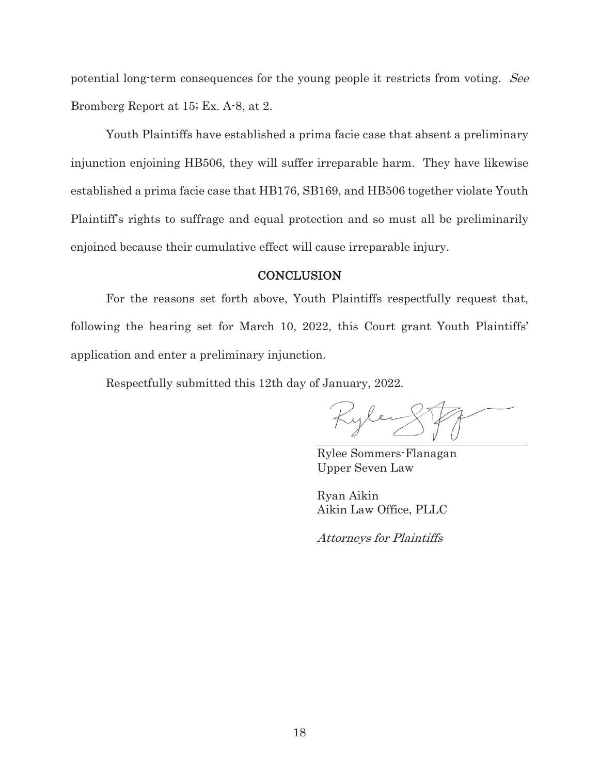potential long-term consequences for the young people it restricts from voting. See Bromberg Report at 15; Ex. A-8, at 2.

Youth Plaintiffs have established a prima facie case that absent a preliminary injunction enjoining HB506, they will suffer irreparable harm. They have likewise established a prima facie case that HB176, SB169, and HB506 together violate Youth Plaintiff's rights to suffrage and equal protection and so must all be preliminarily enjoined because their cumulative effect will cause irreparable injury.

### **CONCLUSION**

For the reasons set forth above, Youth Plaintiffs respectfully request that, following the hearing set for March 10, 2022, this Court grant Youth Plaintiffs' application and enter a preliminary injunction.

Respectfully submitted this 12th day of January, 2022.

Kyle

Rylee Sommers-Flanagan Upper Seven Law

Ryan Aikin Aikin Law Office, PLLC

Attorneys for Plaintiffs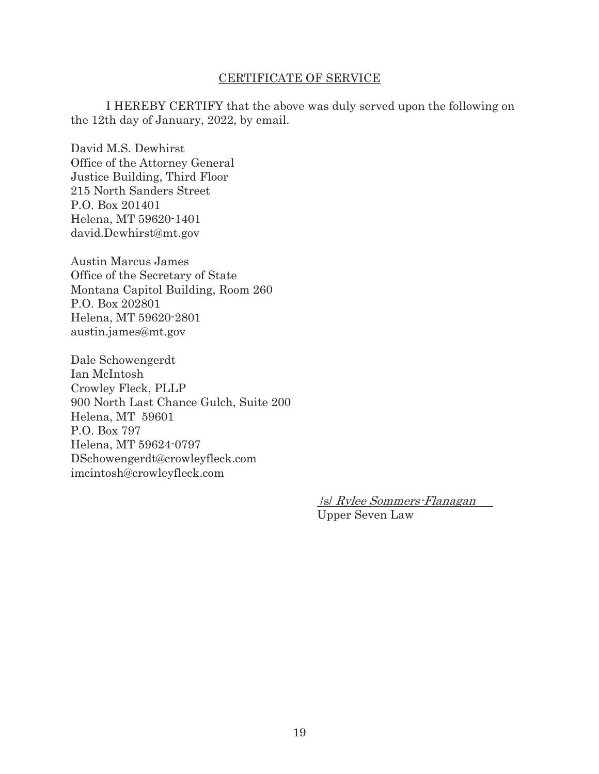#### CERTIFICATE OF SERVICE

 I HEREBY CERTIFY that the above was duly served upon the following on the 12th day of January, 2022, by email.

David M.S. Dewhirst Office of the Attorney General Justice Building, Third Floor 215 North Sanders Street P.O. Box 201401 Helena, MT 59620-1401 david.Dewhirst@mt.gov

Austin Marcus James Office of the Secretary of State Montana Capitol Building, Room 260 P.O. Box 202801 Helena, MT 59620-2801 austin.james@mt.gov

Dale Schowengerdt Ian McIntosh Crowley Fleck, PLLP 900 North Last Chance Gulch, Suite 200 Helena, MT 59601 P.O. Box 797 Helena, MT 59624-0797 DSchowengerdt@crowleyfleck.com imcintosh@crowleyfleck.com

> /s/ Rylee Sommers-Flanagan Upper Seven Law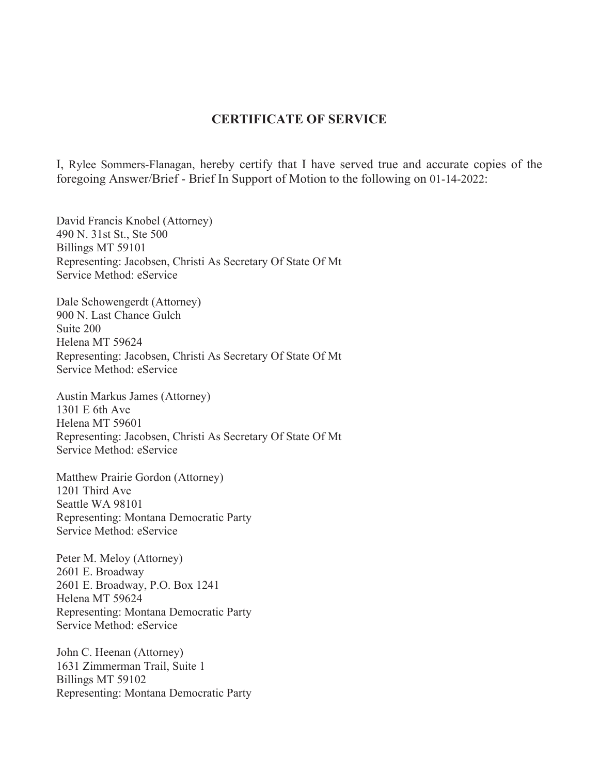## **CERTIFICATE OF SERVICE**

I, Rylee Sommers-Flanagan, hereby certify that I have served true and accurate copies of the foregoing Answer/Brief - Brief In Support of Motion to the following on 01-14-2022:

David Francis Knobel (Attorney) 490 N. 31st St., Ste 500 Billings MT 59101 Representing: Jacobsen, Christi As Secretary Of State Of Mt Service Method: eService

Dale Schowengerdt (Attorney) 900 N. Last Chance Gulch Suite 200 Helena MT 59624 Representing: Jacobsen, Christi As Secretary Of State Of Mt Service Method: eService

Austin Markus James (Attorney) 1301 E 6th Ave Helena MT 59601 Representing: Jacobsen, Christi As Secretary Of State Of Mt Service Method: eService

Matthew Prairie Gordon (Attorney) 1201 Third Ave Seattle WA 98101 Representing: Montana Democratic Party Service Method: eService

Peter M. Meloy (Attorney) 2601 E. Broadway 2601 E. Broadway, P.O. Box 1241 Helena MT 59624 Representing: Montana Democratic Party Service Method: eService

John C. Heenan (Attorney) 1631 Zimmerman Trail, Suite 1 Billings MT 59102 Representing: Montana Democratic Party